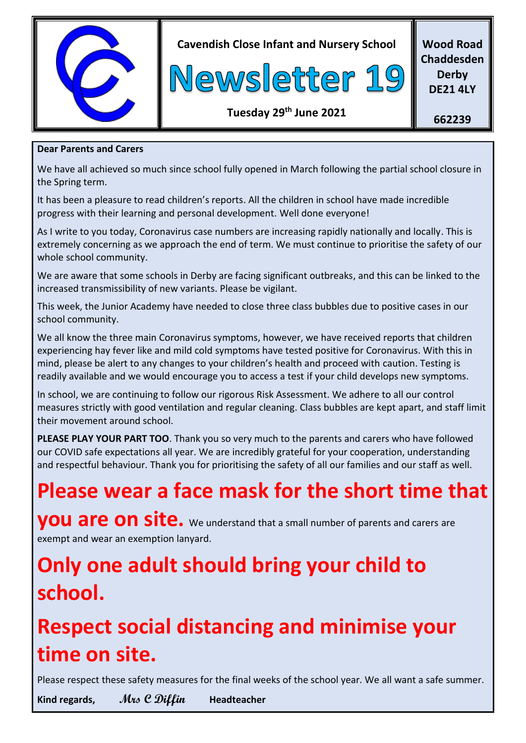

**Cavendish Close Infant and Nursery School**



**Wood Road Chaddesden Derby DE21 4LY**

**Tuesday 29 th June 2021**

**662239**

#### **Dear Parents and Carers**

We have all achieved so much since school fully opened in March following the partial school closure in the Spring term.

It has been a pleasure to read children's reports. All the children in school have made incredible progress with their learning and personal development. Well done everyone!

As I write to you today, Coronavirus case numbers are increasing rapidly nationally and locally. This is extremely concerning as we approach the end of term. We must continue to prioritise the safety of our whole school community.

We are aware that some schools in Derby are facing significant outbreaks, and this can be linked to the increased transmissibility of new variants. Please be vigilant.

This week, the Junior Academy have needed to close three class bubbles due to positive cases in our school community.

We all know the three main Coronavirus symptoms, however, we have received reports that children experiencing hay fever like and mild cold symptoms have tested positive for Coronavirus. With this in mind, please be alert to any changes to your children's health and proceed with caution. Testing is readily available and we would encourage you to access a test if your child develops new symptoms.

In school, we are continuing to follow our rigorous Risk Assessment. We adhere to all our control measures strictly with good ventilation and regular cleaning. Class bubbles are kept apart, and staff limit their movement around school.

**PLEASE PLAY YOUR PART TOO**. Thank you so very much to the parents and carers who have followed our COVID safe expectations all year. We are incredibly grateful for your cooperation, understanding and respectful behaviour. Thank you for prioritising the safety of all our families and our staff as well.

## **Please wear a face mask for the short time that**

**you are on site.** We understand that a small number of parents and carers are exempt and wear an exemption lanyard.

## **Only one adult should bring your child to school.**

# **Respect social distancing and minimise your time on site.**

Please respect these safety measures for the final weeks of the school year. We all want a safe summer.

**Kind regards, Mrs C Diffin Headteacher**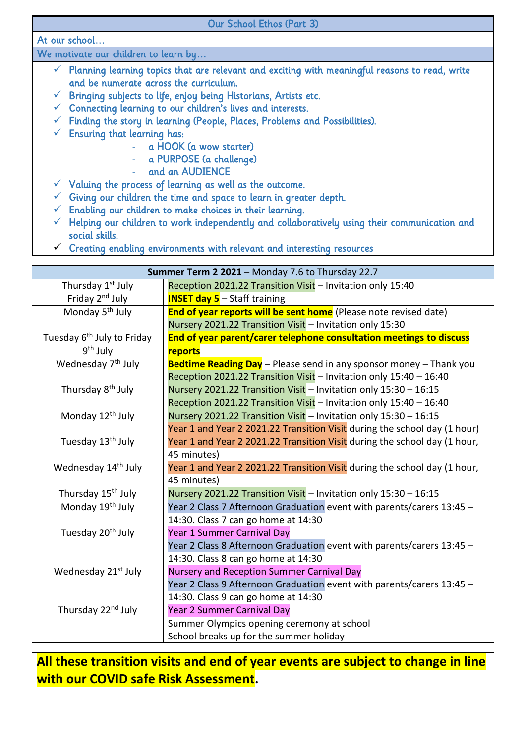| Our School Ethos (Part 3)                                                                                      |  |  |
|----------------------------------------------------------------------------------------------------------------|--|--|
| At our school                                                                                                  |  |  |
| We motivate our children to learn by                                                                           |  |  |
| $\checkmark$ Planning learning topics that are relevant and exciting with meaningful reasons to read, write    |  |  |
| and be numerate across the curriculum.                                                                         |  |  |
| Bringing subjects to life, enjoy being Historians, Artists etc.<br>V.                                          |  |  |
| Connecting learning to our children's lives and interests.<br>V.                                               |  |  |
| Finding the story in learning (People, Places, Problems and Possibilities).<br>✔                               |  |  |
| Ensuring that learning has:                                                                                    |  |  |
| - a HOOK (a wow starter)                                                                                       |  |  |
| - a PURPOSE (a challenge)                                                                                      |  |  |
| - and an AUDIENCE                                                                                              |  |  |
| $\checkmark$ Valuing the process of learning as well as the outcome.                                           |  |  |
| Giving our children the time and space to learn in greater depth.                                              |  |  |
| Enabling our children to make choices in their learning.                                                       |  |  |
| Helping our children to work independently and collaboratively using their communication and<br>social skills. |  |  |

 $\checkmark$  Creating enabling environments with relevant and interesting resources

| Summer Term 2 2021 - Monday 7.6 to Thursday 22.7 |                                                                           |
|--------------------------------------------------|---------------------------------------------------------------------------|
| Thursday 1 <sup>st</sup> July                    | Reception 2021.22 Transition Visit - Invitation only 15:40                |
| Friday 2 <sup>nd</sup> July                      | <b>INSET day 5</b> $-$ Staff training                                     |
| Monday 5 <sup>th</sup> July                      | End of year reports will be sent home (Please note revised date)          |
|                                                  | Nursery 2021.22 Transition Visit - Invitation only 15:30                  |
| Tuesday 6 <sup>th</sup> July to Friday           | End of year parent/carer telephone consultation meetings to discuss       |
| $9th$ July                                       | reports                                                                   |
| Wednesday 7 <sup>th</sup> July                   | Bedtime Reading Day - Please send in any sponsor money - Thank you        |
|                                                  | Reception 2021.22 Transition Visit - Invitation only 15:40 - 16:40        |
| Thursday 8 <sup>th</sup> July                    | Nursery 2021.22 Transition Visit - Invitation only 15:30 - 16:15          |
|                                                  | Reception 2021.22 Transition Visit - Invitation only 15:40 - 16:40        |
| Monday 12 <sup>th</sup> July                     | Nursery 2021.22 Transition Visit - Invitation only 15:30 - 16:15          |
|                                                  | Year 1 and Year 2 2021.22 Transition Visit during the school day (1 hour) |
| Tuesday 13 <sup>th</sup> July                    | Year 1 and Year 2 2021.22 Transition Visit during the school day (1 hour, |
|                                                  | 45 minutes)                                                               |
| Wednesday 14 <sup>th</sup> July                  | Year 1 and Year 2 2021.22 Transition Visit during the school day (1 hour, |
|                                                  | 45 minutes)                                                               |
| Thursday 15 <sup>th</sup> July                   | Nursery 2021.22 Transition Visit - Invitation only 15:30 - 16:15          |
| Monday 19 <sup>th</sup> July                     | Year 2 Class 7 Afternoon Graduation event with parents/carers 13:45 -     |
|                                                  | 14:30. Class 7 can go home at 14:30                                       |
| Tuesday 20 <sup>th</sup> July                    | Year 1 Summer Carnival Day                                                |
|                                                  | Year 2 Class 8 Afternoon Graduation event with parents/carers 13:45 -     |
|                                                  | 14:30. Class 8 can go home at 14:30                                       |
| Wednesday 21 <sup>st</sup> July                  | Nursery and Reception Summer Carnival Day                                 |
|                                                  | Year 2 Class 9 Afternoon Graduation event with parents/carers 13:45 -     |
|                                                  | 14:30. Class 9 can go home at 14:30                                       |
| Thursday 22 <sup>nd</sup> July                   | Year 2 Summer Carnival Day                                                |
|                                                  | Summer Olympics opening ceremony at school                                |
|                                                  | School breaks up for the summer holiday                                   |

### **All these transition visits and end of year events are subject to change in line with our COVID safe Risk Assessment.**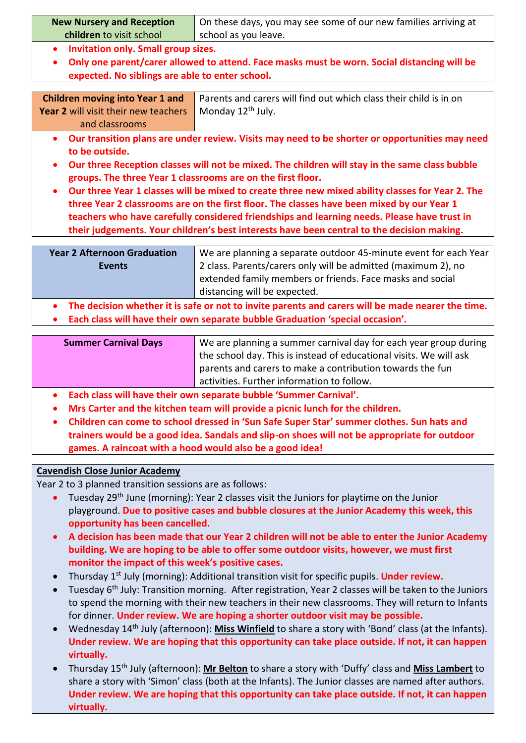| <b>New Nursery and Reception</b>           | On these days, you may see some of our new families arriving at |  |
|--------------------------------------------|-----------------------------------------------------------------|--|
| children to visit school                   | school as you leave.                                            |  |
| <b>Invitation only. Small group sizes.</b> |                                                                 |  |

 **Only one parent/carer allowed to attend. Face masks must be worn. Social distancing will be expected. No siblings are able to enter school.**

| <b>Children moving into Year 1 and</b> Par |  |
|--------------------------------------------|--|
| Year 2 will visit their new teachers   Mo  |  |
| and classrooms                             |  |

rents and carers will find out which class their child is in on onday 12<sup>th</sup> July.

- **Our transition plans are under review. Visits may need to be shorter or opportunities may need to be outside.**
- **Our three Reception classes will not be mixed. The children will stay in the same class bubble groups. The three Year 1 classrooms are on the first floor.**
- **Our three Year 1 classes will be mixed to create three new mixed ability classes for Year 2. The three Year 2 classrooms are on the first floor. The classes have been mixed by our Year 1 teachers who have carefully considered friendships and learning needs. Please have trust in their judgements. Your children's best interests have been central to the decision making.**

| <b>Year 2 Afternoon Graduation</b> | We are planning a separate outdoor 45-minute event for each Year |
|------------------------------------|------------------------------------------------------------------|
| <b>Events</b>                      | 2 class. Parents/carers only will be admitted (maximum 2), no    |
|                                    | extended family members or friends. Face masks and social        |
|                                    | distancing will be expected.                                     |
|                                    |                                                                  |

- **The decision whether it is safe or not to invite parents and carers will be made nearer the time.**
- **Each class will have their own separate bubble Graduation 'special occasion'.**

| <b>Summer Carnival Days</b> | We are planning a summer carnival day for each year group during   |
|-----------------------------|--------------------------------------------------------------------|
|                             | the school day. This is instead of educational visits. We will ask |
|                             | parents and carers to make a contribution towards the fun          |
|                             | activities. Further information to follow.                         |

- **Each class will have their own separate bubble 'Summer Carnival'.**
- **Mrs Carter and the kitchen team will provide a picnic lunch for the children.**
- **Children can come to school dressed in 'Sun Safe Super Star' summer clothes. Sun hats and trainers would be a good idea. Sandals and slip-on shoes will not be appropriate for outdoor games. A raincoat with a hood would also be a good idea!**

#### **Cavendish Close Junior Academy**

Year 2 to 3 planned transition sessions are as follows:

- Tuesday 29<sup>th</sup> June (morning): Year 2 classes visit the Juniors for playtime on the Junior playground. **Due to positive cases and bubble closures at the Junior Academy this week, this opportunity has been cancelled.**
- **A decision has been made that our Year 2 children will not be able to enter the Junior Academy building. We are hoping to be able to offer some outdoor visits, however, we must first monitor the impact of this week's positive cases.**
- Thursday 1<sup>st</sup> July (morning): Additional transition visit for specific pupils. Under review.
- Tuesday 6<sup>th</sup> July: Transition morning. After registration, Year 2 classes will be taken to the Juniors to spend the morning with their new teachers in their new classrooms. They will return to Infants for dinner. **Under review. We are hoping a shorter outdoor visit may be possible.**
- Wednesday 14th July (afternoon): **Miss Winfield** to share a story with 'Bond' class (at the Infants). **Under review. We are hoping that this opportunity can take place outside. If not, it can happen virtually.**
- Thursday 15th July (afternoon): **Mr Belton** to share a story with 'Duffy' class and **Miss Lambert** to share a story with 'Simon' class (both at the Infants). The Junior classes are named after authors. **Under review. We are hoping that this opportunity can take place outside. If not, it can happen virtually.**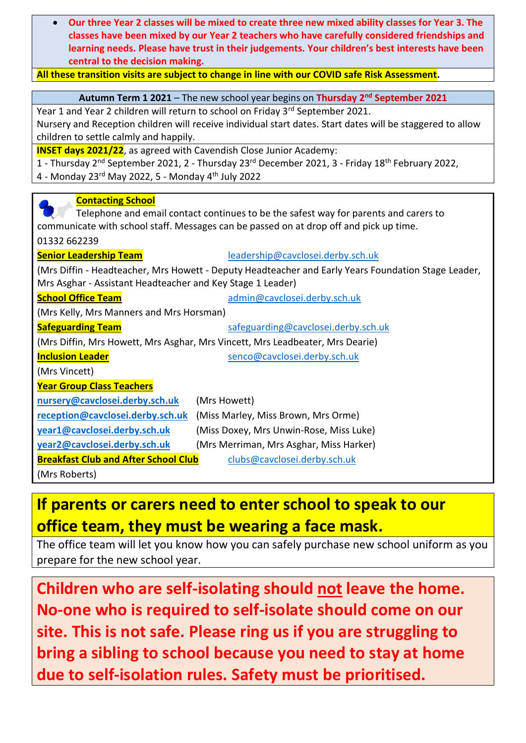**Our three Year 2 classes will be mixed to create three new mixed ability classes for Year 3. The classes have been mixed by our Year 2 teachers who have carefully considered friendships and learning needs. Please have trust in their judgements. Your children's best interests have been central to the decision making.**

#### **All these transition visits are subject to change in line with our COVID safe Risk Assessment.**

#### **Autumn Term 1 2021** – The new school year begins on **Thursday 2nd September 2021**

Year 1 and Year 2 children will return to school on Friday 3<sup>rd</sup> September 2021.

Nursery and Reception children will receive individual start dates. Start dates will be staggered to allow children to settle calmly and happily.

**INSET days 2021/22**, as agreed with Cavendish Close Junior Academy:

1 - Thursday 2<sup>nd</sup> September 2021, 2 - Thursday 23<sup>rd</sup> December 2021, 3 - Friday 18<sup>th</sup> February 2022,

4 - Monday 23rd May 2022, 5 - Monday 4th July 2022

| <b>Contacting School</b>                                                               |                                                                                                     |  |  |
|----------------------------------------------------------------------------------------|-----------------------------------------------------------------------------------------------------|--|--|
| Telephone and email contact continues to be the safest way for parents and carers to   |                                                                                                     |  |  |
| communicate with school staff. Messages can be passed on at drop off and pick up time. |                                                                                                     |  |  |
| 01332 662239                                                                           |                                                                                                     |  |  |
| <b>Senior Leadership Team</b>                                                          | leadership@cavclosei.derby.sch.uk                                                                   |  |  |
|                                                                                        | (Mrs Diffin - Headteacher, Mrs Howett - Deputy Headteacher and Early Years Foundation Stage Leader, |  |  |
| Mrs Asghar - Assistant Headteacher and Key Stage 1 Leader)                             |                                                                                                     |  |  |
| <b>School Office Team</b>                                                              | admin@cavclosei.derby.sch.uk                                                                        |  |  |
| (Mrs Kelly, Mrs Manners and Mrs Horsman)                                               |                                                                                                     |  |  |
| <b>Safeguarding Team</b>                                                               | safeguarding@cavclosei.derby.sch.uk                                                                 |  |  |
| (Mrs Diffin, Mrs Howett, Mrs Asghar, Mrs Vincett, Mrs Leadbeater, Mrs Dearie)          |                                                                                                     |  |  |
| <b>Inclusion Leader</b>                                                                | senco@cavclosei.derby.sch.uk                                                                        |  |  |
| (Mrs Vincett)                                                                          |                                                                                                     |  |  |
| <b>Year Group Class Teachers</b>                                                       |                                                                                                     |  |  |
| nursery@cavclosei.derby.sch.uk                                                         | (Mrs Howett)                                                                                        |  |  |
| reception@cavclosei.derby.sch.uk                                                       | (Miss Marley, Miss Brown, Mrs Orme)                                                                 |  |  |
| year1@cavclosei.derby.sch.uk                                                           | (Miss Doxey, Mrs Unwin-Rose, Miss Luke)                                                             |  |  |
| year2@cavclosei.derby.sch.uk                                                           | (Mrs Merriman, Mrs Asghar, Miss Harker)                                                             |  |  |
| <b>Breakfast Club and After School Club</b>                                            | clubs@cavclosei.derby.sch.uk                                                                        |  |  |
| (Mrs Roberts)                                                                          |                                                                                                     |  |  |

## **If parents or carers need to enter school to speak to our office team, they must be wearing a face mask.**

The office team will let you know how you can safely purchase new school uniform as you prepare for the new school year.

**Children who are self-isolating should not leave the home. No-one who is required to self-isolate should come on our site. This is not safe. Please ring us if you are struggling to bring a sibling to school because you need to stay at home due to self-isolation rules. Safety must be prioritised.**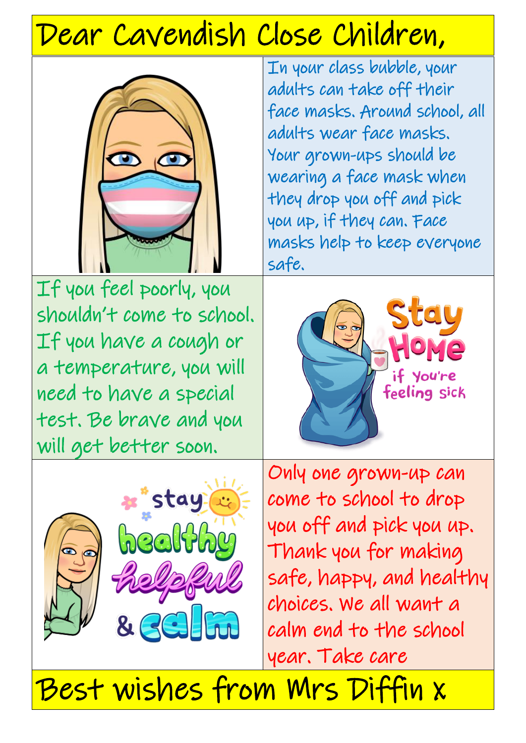# Dear Cavendish Close Children,



If you feel poorly, you shouldn't come to school. If you have a cough or a temperature, you will need to have a special test. Be brave and you will get better soon.

In your class bubble, your adults can take off their face masks. Around school, all adults wear face masks. Your grown-ups should be wearing a face mask when they drop you off and pick you up, if they can. Face masks help to keep everyone safe.





Only one grown-up can come to school to drop you off and pick you up. Thank you for making safe, happy, and healthy choices. We all want a calm end to the school year. Take care

Best wishes from Mrs Diffin x